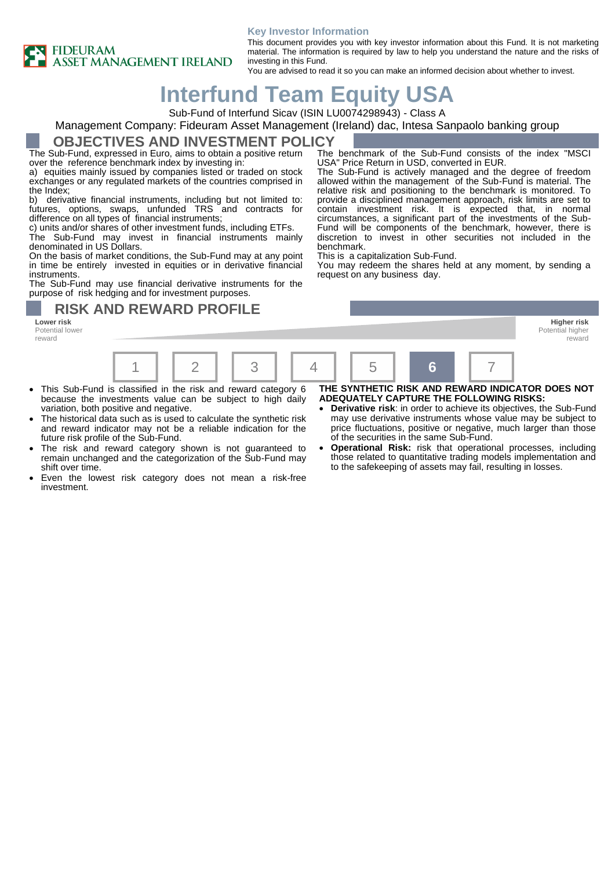### **Key Investor Information**



This document provides you with key investor information about this Fund. It is not marketing material. The information is required by law to help you understand the nature and the risks of investing in this Fund.

You are advised to read it so you can make an informed decision about whether to invest.

USA" Price Return in USD, converted in EUR.

This is a capitalization Sub-Fund.

# **Interfund Team Equity USA**

Sub-Fund of Interfund Sicav (ISIN LU0074298943) - Class A

### Management Company: Fideuram Asset Management (Ireland) dac, Intesa Sanpaolo banking group

### **OBJECTIVES AND INVESTMENT POLICY**

The Sub-Fund, expressed in Euro, aims to obtain a positive return over the reference benchmark index by investing in:

a) equities mainly issued by companies listed or traded on stock exchanges or any regulated markets of the countries comprised in the Index;

b) derivative financial instruments, including but not limited to: futures, options, swaps, unfunded TRS and contracts for difference on all types of financial instruments;

c) units and/or shares of other investment funds, including ETFs.

The Sub-Fund may invest in financial instruments mainly denominated in US Dollars.

On the basis of market conditions, the Sub-Fund may at any point in time be entirely invested in equities or in derivative financial instruments.

The Sub-Fund may use financial derivative instruments for the purpose of risk hedging and for investment purposes.

Potential lower reward

request on any business day. **RISK AND REWARD PROFILE Lower risk Higher risk**

benchmark.

Potential higher reward



- This Sub-Fund is classified in the risk and reward category 6 because the investments value can be subject to high daily variation, both positive and negative.
- The historical data such as is used to calculate the synthetic risk and reward indicator may not be a reliable indication for the future risk profile of the Sub-Fund.
- The risk and reward category shown is not guaranteed to remain unchanged and the categorization of the Sub-Fund may shift over time.
- Even the lowest risk category does not mean a risk-free investment.
- **THE SYNTHETIC RISK AND REWARD INDICATOR DOES NOT ADEQUATELY CAPTURE THE FOLLOWING RISKS:**

The benchmark of the Sub-Fund consists of the index "MSCI

The Sub-Fund is actively managed and the degree of freedom allowed within the management of the Sub-Fund is material. The relative risk and positioning to the benchmark is monitored. To provide a disciplined management approach, risk limits are set to contain investment risk. It is expected that, in normal circumstances, a significant part of the investments of the Sub-Fund will be components of the benchmark, however, there is discretion to invest in other securities not included in the

You may redeem the shares held at any moment, by sending a

- **Derivative risk:** in order to achieve its objectives, the Sub-Fund may use derivative instruments whose value may be subject to price fluctuations, positive or negative, much larger than those of the securities in the same Sub-Fund.
- **Operational Risk:** risk that operational processes, including those related to quantitative trading models implementation and to the safekeeping of assets may fail, resulting in losses.